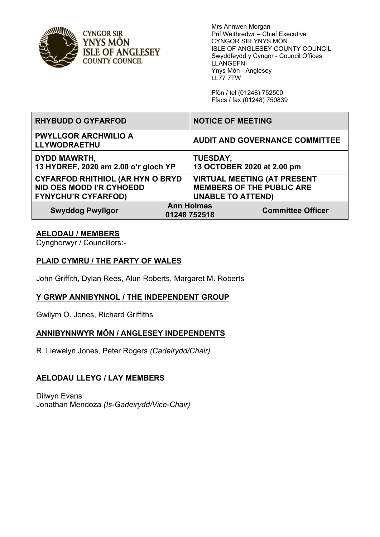

**CYNGOR SIR** YNYS MÔN **ISLE OF ANGLESEY COUNTY COUNCIL** 

Mrs Annwen Morgan Prif Weithredwr – Chief Executive CYNGOR SIR YNYS MÔN ISLE OF ANGLESEY COUNTY COUNCIL Swyddfeydd y Cyngor - Council Offices LLANGEFNI Ynys Môn - Anglesey LL77 7TW

Ffôn / tel (01248) 752500 Ffacs / fax (01248) 750839

| <b>RHYBUDD O GYFARFOD</b>                                                                         | <b>NOTICE OF MEETING</b>                                                                           |
|---------------------------------------------------------------------------------------------------|----------------------------------------------------------------------------------------------------|
| <b>PWYLLGOR ARCHWILIO A</b><br>LLYWODRAETHU                                                       | <b>AUDIT AND GOVERNANCE COMMITTEE</b>                                                              |
| <b>DYDD MAWRTH,</b><br>13 HYDREF, 2020 am 2.00 o'r gloch YP                                       | <b>TUESDAY,</b><br>13 OCTOBER 2020 at 2.00 pm                                                      |
| <b>CYFARFOD RHITHIOL (AR HYN O BRYD</b><br>NID OES MODD I'R CYHOEDD<br><b>FYNYCHU'R CYFARFOD)</b> | <b>VIRTUAL MEETING (AT PRESENT</b><br><b>MEMBERS OF THE PUBLIC ARE</b><br><b>UNABLE TO ATTEND)</b> |
| <b>Swyddog Pwyllgor</b>                                                                           | <b>Ann Holmes</b><br><b>Committee Officer</b><br>01248 752518                                      |

#### **AELODAU / MEMBERS**

Cynghorwyr / Councillors:-

#### **PLAID CYMRU / THE PARTY OF WALES**

John Griffith, Dylan Rees, Alun Roberts, Margaret M. Roberts

#### **Y GRWP ANNIBYNNOL / THE INDEPENDENT GROUP**

Gwilym O. Jones, Richard Griffiths

## **ANNIBYNNWYR MÔN / ANGLESEY INDEPENDENTS**

R. Llewelyn Jones*,* Peter Rogers *(Cadeirydd/Chair)*

## **AELODAU LLEYG / LAY MEMBERS**

Dilwyn Evans Jonathan Mendoza *(Is-Gadeirydd/Vice-Chair)*